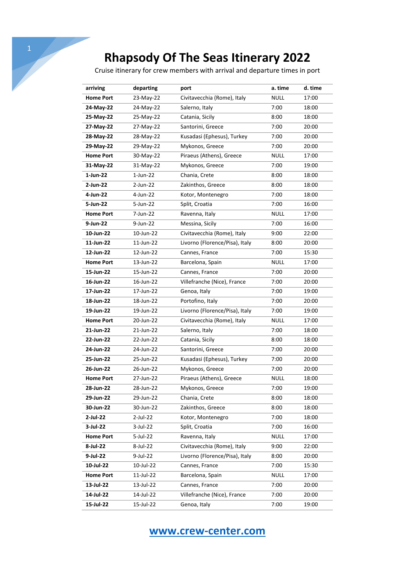Cruise itinerary for crew members with arrival and departure times in port

| arriving         | departing   | port                           | a. time     | d. time |
|------------------|-------------|--------------------------------|-------------|---------|
| <b>Home Port</b> | 23-May-22   | Civitavecchia (Rome), Italy    | <b>NULL</b> | 17:00   |
| 24-May-22        | 24-May-22   | Salerno, Italy                 | 7:00        | 18:00   |
| 25-May-22        | 25-May-22   | Catania, Sicily                | 8:00        | 18:00   |
| 27-May-22        | 27-May-22   | Santorini, Greece              | 7:00        | 20:00   |
| 28-May-22        | 28-May-22   | Kusadasi (Ephesus), Turkey     | 7:00        | 20:00   |
| 29-May-22        | 29-May-22   | Mykonos, Greece                | 7:00        | 20:00   |
| <b>Home Port</b> | 30-May-22   | Piraeus (Athens), Greece       | <b>NULL</b> | 17:00   |
| 31-May-22        | 31-May-22   | Mykonos, Greece                | 7:00        | 19:00   |
| 1-Jun-22         | $1$ -Jun-22 | Chania, Crete                  | 8:00        | 18:00   |
| 2-Jun-22         | 2-Jun-22    | Zakinthos, Greece              | 8:00        | 18:00   |
| 4-Jun-22         | 4-Jun-22    | Kotor, Montenegro              | 7:00        | 18:00   |
| 5-Jun-22         | 5-Jun-22    | Split, Croatia                 | 7:00        | 16:00   |
| <b>Home Port</b> | 7-Jun-22    | Ravenna, Italy                 | <b>NULL</b> | 17:00   |
| 9-Jun-22         | 9-Jun-22    | Messina, Sicily                | 7:00        | 16:00   |
| 10-Jun-22        | 10-Jun-22   | Civitavecchia (Rome), Italy    | 9:00        | 22:00   |
| 11-Jun-22        | 11-Jun-22   | Livorno (Florence/Pisa), Italy | 8:00        | 20:00   |
| 12-Jun-22        | 12-Jun-22   | Cannes, France                 | 7:00        | 15:30   |
| <b>Home Port</b> | 13-Jun-22   | Barcelona, Spain               | <b>NULL</b> | 17:00   |
| 15-Jun-22        | 15-Jun-22   | Cannes, France                 | 7:00        | 20:00   |
| 16-Jun-22        | 16-Jun-22   | Villefranche (Nice), France    | 7:00        | 20:00   |
| 17-Jun-22        | 17-Jun-22   | Genoa, Italy                   | 7:00        | 19:00   |
| 18-Jun-22        | 18-Jun-22   | Portofino, Italy               | 7:00        | 20:00   |
| 19-Jun-22        | 19-Jun-22   | Livorno (Florence/Pisa), Italy | 7:00        | 19:00   |
| <b>Home Port</b> | 20-Jun-22   | Civitavecchia (Rome), Italy    | <b>NULL</b> | 17:00   |
| 21-Jun-22        | 21-Jun-22   | Salerno, Italy                 | 7:00        | 18:00   |
| 22-Jun-22        | 22-Jun-22   | Catania, Sicily                | 8:00        | 18:00   |
| 24-Jun-22        | 24-Jun-22   | Santorini, Greece              | 7:00        | 20:00   |
| 25-Jun-22        | 25-Jun-22   | Kusadasi (Ephesus), Turkey     | 7:00        | 20:00   |
| 26-Jun-22        | 26-Jun-22   | Mykonos, Greece                | 7:00        | 20:00   |
| <b>Home Port</b> | 27-Jun-22   | Piraeus (Athens), Greece       | <b>NULL</b> | 18:00   |
| 28-Jun-22        | 28-Jun-22   | Mykonos, Greece                | 7:00        | 19:00   |
| 29-Jun-22        | 29-Jun-22   | Chania, Crete                  | 8:00        | 18:00   |
| 30-Jun-22        | 30-Jun-22   | Zakinthos, Greece              | 8:00        | 18:00   |
| 2-Jul-22         | 2-Jul-22    | Kotor, Montenegro              | 7:00        | 18:00   |
| 3-Jul-22         | 3-Jul-22    | Split, Croatia                 | 7:00        | 16:00   |
| <b>Home Port</b> | 5-Jul-22    | Ravenna, Italy                 | <b>NULL</b> | 17:00   |
| 8-Jul-22         | 8-Jul-22    | Civitavecchia (Rome), Italy    | 9:00        | 22:00   |
| 9-Jul-22         | 9-Jul-22    | Livorno (Florence/Pisa), Italy | 8:00        | 20:00   |
| 10-Jul-22        | 10-Jul-22   | Cannes, France                 | 7:00        | 15:30   |
| <b>Home Port</b> | 11-Jul-22   | Barcelona, Spain               | <b>NULL</b> | 17:00   |
| 13-Jul-22        | 13-Jul-22   | Cannes, France                 | 7:00        | 20:00   |
| 14-Jul-22        | 14-Jul-22   | Villefranche (Nice), France    | 7:00        | 20:00   |
| 15-Jul-22        | 15-Jul-22   | Genoa, Italy                   | 7:00        | 19:00   |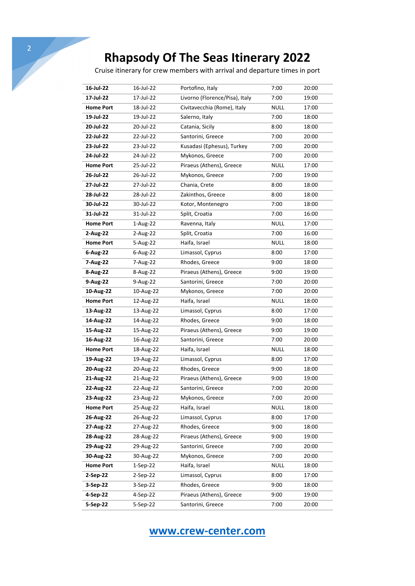Cruise itinerary for crew members with arrival and departure times in port

| 16-Jul-22        | 16-Jul-22  | Portofino, Italy               | 7:00        | 20:00 |
|------------------|------------|--------------------------------|-------------|-------|
| 17-Jul-22        | 17-Jul-22  | Livorno (Florence/Pisa), Italy | 7:00        | 19:00 |
| <b>Home Port</b> | 18-Jul-22  | Civitavecchia (Rome), Italy    | <b>NULL</b> | 17:00 |
| 19-Jul-22        | 19-Jul-22  | Salerno, Italy                 | 7:00        | 18:00 |
| 20-Jul-22        | 20-Jul-22  | Catania, Sicily                | 8:00        | 18:00 |
| 22-Jul-22        | 22-Jul-22  | Santorini, Greece              | 7:00        | 20:00 |
| 23-Jul-22        | 23-Jul-22  | Kusadasi (Ephesus), Turkey     | 7:00        | 20:00 |
| 24-Jul-22        | 24-Jul-22  | Mykonos, Greece                | 7:00        | 20:00 |
| <b>Home Port</b> | 25-Jul-22  | Piraeus (Athens), Greece       | <b>NULL</b> | 17:00 |
| 26-Jul-22        | 26-Jul-22  | Mykonos, Greece                | 7:00        | 19:00 |
| 27-Jul-22        | 27-Jul-22  | Chania, Crete                  | 8:00        | 18:00 |
| 28-Jul-22        | 28-Jul-22  | Zakinthos, Greece              | 8:00        | 18:00 |
| 30-Jul-22        | 30-Jul-22  | Kotor, Montenegro              | 7:00        | 18:00 |
| 31-Jul-22        | 31-Jul-22  | Split, Croatia                 | 7:00        | 16:00 |
| <b>Home Port</b> | 1-Aug-22   | Ravenna, Italy                 | <b>NULL</b> | 17:00 |
| 2-Aug-22         | 2-Aug-22   | Split, Croatia                 | 7:00        | 16:00 |
| <b>Home Port</b> | 5-Aug-22   | Haifa, Israel                  | <b>NULL</b> | 18:00 |
| 6-Aug-22         | 6-Aug-22   | Limassol, Cyprus               | 8:00        | 17:00 |
| 7-Aug-22         | 7-Aug-22   | Rhodes, Greece                 | 9:00        | 18:00 |
| 8-Aug-22         | 8-Aug-22   | Piraeus (Athens), Greece       | 9:00        | 19:00 |
| 9-Aug-22         | 9-Aug-22   | Santorini, Greece              | 7:00        | 20:00 |
| 10-Aug-22        | 10-Aug-22  | Mykonos, Greece                | 7:00        | 20:00 |
| <b>Home Port</b> | 12-Aug-22  | Haifa, Israel                  | <b>NULL</b> | 18:00 |
| 13-Aug-22        | 13-Aug-22  | Limassol, Cyprus               | 8:00        | 17:00 |
| 14-Aug-22        | 14-Aug-22  | Rhodes, Greece                 | 9:00        | 18:00 |
| 15-Aug-22        | 15-Aug-22  | Piraeus (Athens), Greece       | 9:00        | 19:00 |
| 16-Aug-22        | 16-Aug-22  | Santorini, Greece              | 7:00        | 20:00 |
| <b>Home Port</b> | 18-Aug-22  | Haifa, Israel                  | <b>NULL</b> | 18:00 |
| 19-Aug-22        | 19-Aug-22  | Limassol, Cyprus               | 8:00        | 17:00 |
| 20-Aug-22        | 20-Aug-22  | Rhodes, Greece                 | 9:00        | 18:00 |
| 21-Aug-22        | 21-Aug-22  | Piraeus (Athens), Greece       | 9:00        | 19:00 |
| 22-Aug-22        | 22-Aug-22  | Santorini, Greece              | 7:00        | 20:00 |
| 23-Aug-22        | 23-Aug-22  | Mykonos, Greece                | 7:00        | 20:00 |
| <b>Home Port</b> | 25-Aug-22  | Haifa, Israel                  | <b>NULL</b> | 18:00 |
| 26-Aug-22        | 26-Aug-22  | Limassol, Cyprus               | 8:00        | 17:00 |
| 27-Aug-22        | 27-Aug-22  | Rhodes, Greece                 | 9:00        | 18:00 |
| 28-Aug-22        | 28-Aug-22  | Piraeus (Athens), Greece       | 9:00        | 19:00 |
| 29-Aug-22        | 29-Aug-22  | Santorini, Greece              | 7:00        | 20:00 |
| 30-Aug-22        | 30-Aug-22  | Mykonos, Greece                | 7:00        | 20:00 |
| <b>Home Port</b> | $1-Sep-22$ | Haifa, Israel                  | <b>NULL</b> | 18:00 |
| 2-Sep-22         | 2-Sep-22   | Limassol, Cyprus               | 8:00        | 17:00 |
| 3-Sep-22         | 3-Sep-22   | Rhodes, Greece                 | 9:00        | 18:00 |
| 4-Sep-22         | 4-Sep-22   | Piraeus (Athens), Greece       | 9:00        | 19:00 |
| 5-Sep-22         | 5-Sep-22   | Santorini, Greece              | 7:00        | 20:00 |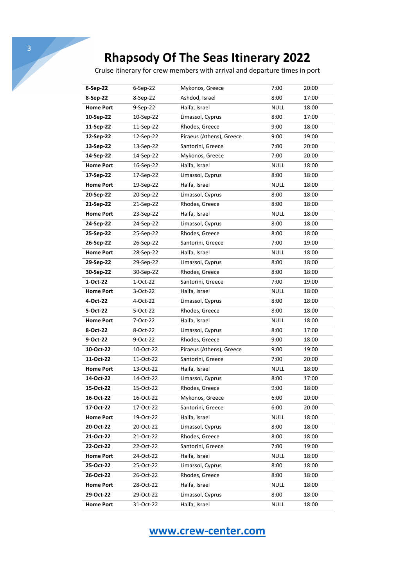Cruise itinerary for crew members with arrival and departure times in port

| 6-Sep-22         | 6-Sep-22   | Mykonos, Greece          | 7:00        | 20:00 |
|------------------|------------|--------------------------|-------------|-------|
| 8-Sep-22         | 8-Sep-22   | Ashdod, Israel           | 8:00        | 17:00 |
| <b>Home Port</b> | $9-Sep-22$ | Haifa, Israel            | <b>NULL</b> | 18:00 |
| 10-Sep-22        | 10-Sep-22  | Limassol, Cyprus         | 8:00        | 17:00 |
| 11-Sep-22        | 11-Sep-22  | Rhodes, Greece           | 9:00        | 18:00 |
| 12-Sep-22        | 12-Sep-22  | Piraeus (Athens), Greece | 9:00        | 19:00 |
| 13-Sep-22        | 13-Sep-22  | Santorini, Greece        | 7:00        | 20:00 |
| 14-Sep-22        | 14-Sep-22  | Mykonos, Greece          | 7:00        | 20:00 |
| <b>Home Port</b> | 16-Sep-22  | Haifa, Israel            | <b>NULL</b> | 18:00 |
| 17-Sep-22        | 17-Sep-22  | Limassol, Cyprus         | 8:00        | 18:00 |
| <b>Home Port</b> | 19-Sep-22  | Haifa, Israel            | <b>NULL</b> | 18:00 |
| 20-Sep-22        | 20-Sep-22  | Limassol, Cyprus         | 8:00        | 18:00 |
| 21-Sep-22        | 21-Sep-22  | Rhodes, Greece           | 8:00        | 18:00 |
| <b>Home Port</b> | 23-Sep-22  | Haifa, Israel            | <b>NULL</b> | 18:00 |
| 24-Sep-22        | 24-Sep-22  | Limassol, Cyprus         | 8:00        | 18:00 |
| 25-Sep-22        | 25-Sep-22  | Rhodes, Greece           | 8:00        | 18:00 |
| 26-Sep-22        | 26-Sep-22  | Santorini, Greece        | 7:00        | 19:00 |
| <b>Home Port</b> | 28-Sep-22  | Haifa, Israel            | <b>NULL</b> | 18:00 |
| 29-Sep-22        | 29-Sep-22  | Limassol, Cyprus         | 8:00        | 18:00 |
| 30-Sep-22        | 30-Sep-22  | Rhodes, Greece           | 8:00        | 18:00 |
| 1-Oct-22         | 1-Oct-22   | Santorini, Greece        | 7:00        | 19:00 |
| <b>Home Port</b> | 3-Oct-22   | Haifa, Israel            | <b>NULL</b> | 18:00 |
| 4-Oct-22         | 4-Oct-22   | Limassol, Cyprus         | 8:00        | 18:00 |
| 5-Oct-22         | 5-Oct-22   | Rhodes, Greece           | 8:00        | 18:00 |
| <b>Home Port</b> | 7-Oct-22   | Haifa, Israel            | <b>NULL</b> | 18:00 |
| 8-Oct-22         | 8-Oct-22   | Limassol, Cyprus         | 8:00        | 17:00 |
| 9-Oct-22         | 9-Oct-22   | Rhodes, Greece           | 9:00        | 18:00 |
| 10-Oct-22        | 10-Oct-22  | Piraeus (Athens), Greece | 9:00        | 19:00 |
| 11-Oct-22        | 11-Oct-22  | Santorini, Greece        | 7:00        | 20:00 |
| <b>Home Port</b> | 13-Oct-22  | Haifa, Israel            | <b>NULL</b> | 18:00 |
| 14-Oct-22        | 14-Oct-22  | Limassol, Cyprus         | 8:00        | 17:00 |
| 15-Oct-22        | 15-Oct-22  | Rhodes, Greece           | 9:00        | 18:00 |
| 16-Oct-22        | 16-Oct-22  | Mykonos, Greece          | 6:00        | 20:00 |
| 17-Oct-22        | 17-Oct-22  | Santorini, Greece        | 6:00        | 20:00 |
| <b>Home Port</b> | 19-Oct-22  | Haifa, Israel            | <b>NULL</b> | 18:00 |
| 20-Oct-22        | 20-Oct-22  | Limassol, Cyprus         | 8:00        | 18:00 |
| 21-Oct-22        | 21-Oct-22  | Rhodes, Greece           | 8:00        | 18:00 |
| 22-Oct-22        | 22-Oct-22  | Santorini, Greece        | 7:00        | 19:00 |
| <b>Home Port</b> | 24-Oct-22  | Haifa, Israel            | <b>NULL</b> | 18:00 |
| 25-Oct-22        | 25-Oct-22  | Limassol, Cyprus         | 8:00        | 18:00 |
| 26-Oct-22        | 26-Oct-22  | Rhodes, Greece           | 8:00        | 18:00 |
| <b>Home Port</b> | 28-Oct-22  | Haifa, Israel            | <b>NULL</b> | 18:00 |
| 29-Oct-22        | 29-Oct-22  | Limassol, Cyprus         | 8:00        | 18:00 |
| <b>Home Port</b> | 31-Oct-22  | Haifa, Israel            | <b>NULL</b> | 18:00 |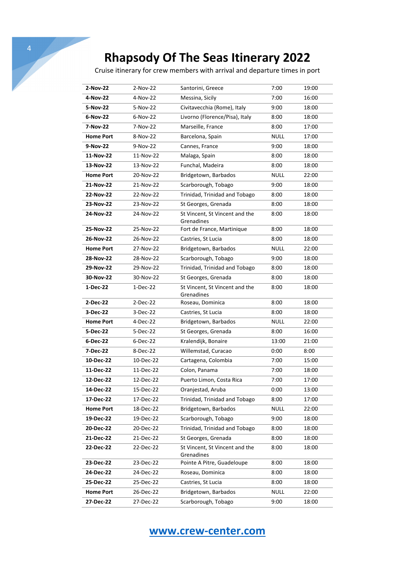4

Cruise itinerary for crew members with arrival and departure times in port

| 2-Nov-22         |                      |                                              |              |                |
|------------------|----------------------|----------------------------------------------|--------------|----------------|
| 4-Nov-22         | 2-Nov-22<br>4-Nov-22 | Santorini, Greece<br>Messina, Sicily         | 7:00<br>7:00 | 19:00<br>16:00 |
| 5-Nov-22         | 5-Nov-22             | Civitavecchia (Rome), Italy                  | 9:00         | 18:00          |
| 6-Nov-22         | $6-Nov-22$           | Livorno (Florence/Pisa), Italy               | 8:00         | 18:00          |
| 7-Nov-22         | 7-Nov-22             | Marseille, France                            | 8:00         | 17:00          |
|                  |                      |                                              |              |                |
| <b>Home Port</b> | 8-Nov-22             | Barcelona, Spain                             | <b>NULL</b>  | 17:00          |
| 9-Nov-22         | 9-Nov-22             | Cannes, France                               | 9:00         | 18:00          |
| 11-Nov-22        | 11-Nov-22            | Malaga, Spain                                | 8:00         | 18:00          |
| 13-Nov-22        | 13-Nov-22            | Funchal, Madeira                             | 8:00         | 18:00          |
| <b>Home Port</b> | 20-Nov-22            | Bridgetown, Barbados                         | <b>NULL</b>  | 22:00          |
| 21-Nov-22        | 21-Nov-22            | Scarborough, Tobago                          | 9:00         | 18:00          |
| 22-Nov-22        | 22-Nov-22            | Trinidad, Trinidad and Tobago                | 8:00         | 18:00          |
| 23-Nov-22        | 23-Nov-22            | St Georges, Grenada                          | 8:00         | 18:00          |
| 24-Nov-22        | 24-Nov-22            | St Vincent, St Vincent and the<br>Grenadines | 8:00         | 18:00          |
| 25-Nov-22        | 25-Nov-22            | Fort de France, Martinique                   | 8:00         | 18:00          |
| 26-Nov-22        | 26-Nov-22            | Castries, St Lucia                           | 8:00         | 18:00          |
| <b>Home Port</b> | 27-Nov-22            | Bridgetown, Barbados                         | <b>NULL</b>  | 22:00          |
| 28-Nov-22        | 28-Nov-22            | Scarborough, Tobago                          | 9:00         | 18:00          |
| 29-Nov-22        | 29-Nov-22            | Trinidad, Trinidad and Tobago                | 8:00         | 18:00          |
| 30-Nov-22        | 30-Nov-22            | St Georges, Grenada                          | 8:00         | 18:00          |
| 1-Dec-22         | 1-Dec-22             | St Vincent, St Vincent and the               | 8:00         | 18:00          |
|                  |                      | Grenadines                                   |              |                |
| 2-Dec-22         | 2-Dec-22             | Roseau, Dominica                             | 8:00         | 18:00          |
| 3-Dec-22         | 3-Dec-22             | Castries, St Lucia                           | 8:00         | 18:00          |
| <b>Home Port</b> | 4-Dec-22             | Bridgetown, Barbados                         | <b>NULL</b>  | 22:00          |
| 5-Dec-22         | 5-Dec-22             | St Georges, Grenada                          | 8:00         | 16:00          |
| 6-Dec-22         | 6-Dec-22             | Kralendijk, Bonaire                          | 13:00        | 21:00          |
| 7-Dec-22         | 8-Dec-22             | Willemstad, Curacao                          | 0:00         | 8:00           |
| 10-Dec-22        | 10-Dec-22            | Cartagena, Colombia                          | 7:00         | 15:00          |
| 11-Dec-22        | 11-Dec-22            | Colon, Panama                                | 7:00         | 18:00          |
| 12-Dec-22        | 12-Dec-22            | Puerto Limon, Costa Rica                     | 7:00         | 17:00          |
| 14-Dec-22        | 15-Dec-22            | Oranjestad, Aruba                            | 0:00         | 13:00          |
| 17-Dec-22        | 17-Dec-22            | Trinidad, Trinidad and Tobago                | 8:00         | 17:00          |
| <b>Home Port</b> | 18-Dec-22            | Bridgetown, Barbados                         | <b>NULL</b>  | 22:00          |
| 19-Dec-22        | 19-Dec-22            | Scarborough, Tobago                          | 9:00         | 18:00          |
| 20-Dec-22        | 20-Dec-22            | Trinidad, Trinidad and Tobago                | 8:00         | 18:00          |
| 21-Dec-22        | 21-Dec-22            | St Georges, Grenada                          | 8:00         | 18:00          |
| 22-Dec-22        | 22-Dec-22            | St Vincent, St Vincent and the<br>Grenadines | 8:00         | 18:00          |
| 23-Dec-22        | 23-Dec-22            | Pointe A Pitre, Guadeloupe                   | 8:00         | 18:00          |
| 24-Dec-22        | 24-Dec-22            | Roseau, Dominica                             | 8:00         | 18:00          |
| 25-Dec-22        | 25-Dec-22            | Castries, St Lucia                           | 8:00         | 18:00          |
| <b>Home Port</b> | 26-Dec-22            | Bridgetown, Barbados                         | <b>NULL</b>  | 22:00          |